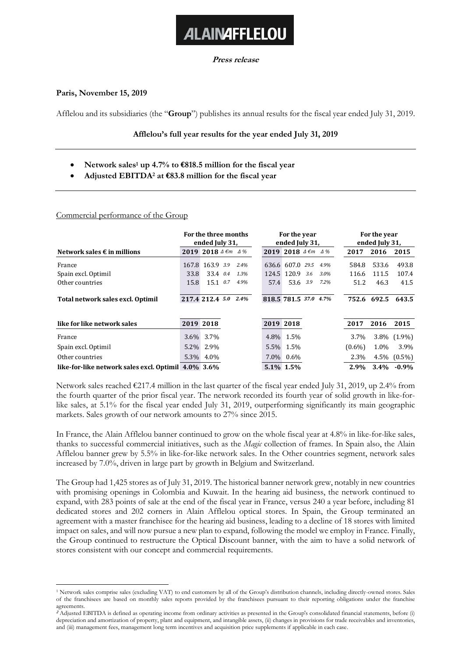# **ALAINAFFLELOU**

### **Press release**

## **Paris, November 15, 2019**

Afflelou and its subsidiaries (the "**Group**") publishes its annual results for the fiscal year ended July 31, 2019.

## **Afflelou's full year results for the year ended July 31, 2019**

- **Network sales<sup>1</sup> up 4.7% to €818.5 million for the fiscal year**
- **Adjusted EBITDA<sup>2</sup> at €83.8 million for the fiscal year**

## Commercial performance of the Group

|                                                     | For the three months<br>ended July 31, |                             |     | For the year<br>ended July 31, |                       |                             |  | For the year<br>ended July 31, |           |             |                   |
|-----------------------------------------------------|----------------------------------------|-----------------------------|-----|--------------------------------|-----------------------|-----------------------------|--|--------------------------------|-----------|-------------|-------------------|
| Network sales $\epsilon$ in millions                |                                        | 2019 2018 $4 \epsilon m$ 4% |     |                                |                       | 2019 2018 $4 \epsilon m$ 4% |  |                                | 2017      | 2016        | 2015              |
| France                                              | 167.8                                  | 163.9 3.9                   |     | 2.4%                           |                       | 636.6 607.0 29.5            |  | 4.9%                           | 584.8     | 533.6       | 493.8             |
| Spain excl. Optimil                                 | 33.8                                   | 33.4 0.4                    |     | 1.3%                           |                       | 124.5 120.9 3.6             |  | 3.0%                           | 116.6     | 111.5       | 107.4             |
| Other countries                                     | 15.8                                   | 15.1                        | 0.7 | 4.9%                           | 57.4                  | 53.6 3.9                    |  | $7.2\%$                        | 51.2      | 46.3        | 41.5              |
| Total network sales excl. Optimil                   |                                        | 217.4 212.4 5.0             |     | 2.4%                           | 818.5 781.5 37.0 4.7% |                             |  |                                |           | 752.6 692.5 | 643.5             |
| like for like network sales                         | 2019 2018                              |                             |     |                                | 2019 2018             |                             |  |                                | 2017      | 2016        | 2015              |
| France                                              | $3.6\%$                                | 3.7%                        |     |                                | 4.8%                  | 1.5%                        |  |                                | 3.7%      |             | 3.8% (1.9%)       |
| Spain excl. Optimil                                 | $5.2\%$                                | 2.9%                        |     |                                | $5.5\%$               | 1.5%                        |  |                                | $(0.6\%)$ | 1.0%        | 3.9%              |
| Other countries                                     | 5.3%                                   | 4.0%                        |     |                                | 7.0%                  | $0.6\%$                     |  |                                | 2.3%      |             | $4.5\%$ $(0.5\%)$ |
| like-for-like network sales excl. Optimil 4.0% 3.6% |                                        |                             |     |                                |                       | 5.1% 1.5%                   |  |                                | 2.9%      |             | $3.4\% -0.9\%$    |

Network sales reached €217.4 million in the last quarter of the fiscal year ended July 31, 2019, up 2.4% from the fourth quarter of the prior fiscal year. The network recorded its fourth year of solid growth in like-forlike sales, at 5.1% for the fiscal year ended July 31, 2019, outperforming significantly its main geographic markets. Sales growth of our network amounts to 27% since 2015.

In France, the Alain Afflelou banner continued to grow on the whole fiscal year at 4.8% in like-for-like sales, thanks to successful commercial initiatives, such as the *Magic* collection of frames. In Spain also, the Alain Afflelou banner grew by 5.5% in like-for-like network sales. In the Other countries segment, network sales increased by 7.0%, driven in large part by growth in Belgium and Switzerland.

The Group had 1,425 stores as of July 31, 2019. The historical banner network grew, notably in new countries with promising openings in Colombia and Kuwait. In the hearing aid business, the network continued to expand, with 283 points of sale at the end of the fiscal year in France, versus 240 a year before, including 81 dedicated stores and 202 corners in Alain Afflelou optical stores. In Spain, the Group terminated an agreement with a master franchisee for the hearing aid business, leading to a decline of 18 stores with limited impact on sales, and will now pursue a new plan to expand, following the model we employ in France. Finally, the Group continued to restructure the Optical Discount banner, with the aim to have a solid network of stores consistent with our concept and commercial requirements.

<sup>1</sup> Network sales comprise sales (excluding VAT) to end customers by all of the Group's distribution channels, including directly-owned stores. Sales of the franchisees are based on monthly sales reports provided by the franchisees pursuant to their reporting obligations under the franchise agreements.

**<sup>2</sup>** Adjusted EBITDA is defined as operating income from ordinary activities as presented in the Group's consolidated financial statements, before (i) depreciation and amortization of property, plant and equipment, and intangible assets, (ii) changes in provisions for trade receivables and inventories, and (iii) management fees, management long term incentives and acquisition price supplements if applicable in each case.